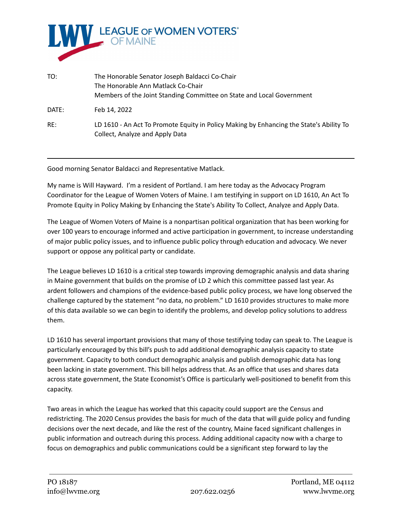

| TO:   | The Honorable Senator Joseph Baldacci Co-Chair<br>The Honorable Ann Matlack Co-Chair<br>Members of the Joint Standing Committee on State and Local Government |
|-------|---------------------------------------------------------------------------------------------------------------------------------------------------------------|
| DATE: | Feb 14, 2022                                                                                                                                                  |
| RE:   | LD 1610 - An Act To Promote Equity in Policy Making by Enhancing the State's Ability To<br>Collect, Analyze and Apply Data                                    |

Good morning Senator Baldacci and Representative Matlack.

My name is Will Hayward. I'm a resident of Portland. I am here today as the Advocacy Program Coordinator for the League of Women Voters of Maine. I am testifying in support on LD 1610, An Act To Promote Equity in Policy Making by Enhancing the State's Ability To Collect, Analyze and Apply Data.

The League of Women Voters of Maine is a nonpartisan political organization that has been working for over 100 years to encourage informed and active participation in government, to increase understanding of major public policy issues, and to influence public policy through education and advocacy. We never support or oppose any political party or candidate.

The League believes LD 1610 is a critical step towards improving demographic analysis and data sharing in Maine government that builds on the promise of LD 2 which this committee passed last year. As ardent followers and champions of the evidence-based public policy process, we have long observed the challenge captured by the statement "no data, no problem." LD 1610 provides structures to make more of this data available so we can begin to identify the problems, and develop policy solutions to address them.

LD 1610 has several important provisions that many of those testifying today can speak to. The League is particularly encouraged by this bill's push to add additional demographic analysis capacity to state government. Capacity to both conduct demographic analysis and publish demographic data has long been lacking in state government. This bill helps address that. As an office that uses and shares data across state government, the State Economist's Office is particularly well-positioned to benefit from this capacity.

Two areas in which the League has worked that this capacity could support are the Census and redistricting. The 2020 Census provides the basis for much of the data that will guide policy and funding decisions over the next decade, and like the rest of the country, Maine faced significant challenges in public information and outreach during this process. Adding additional capacity now with a charge to focus on demographics and public communications could be a significant step forward to lay the